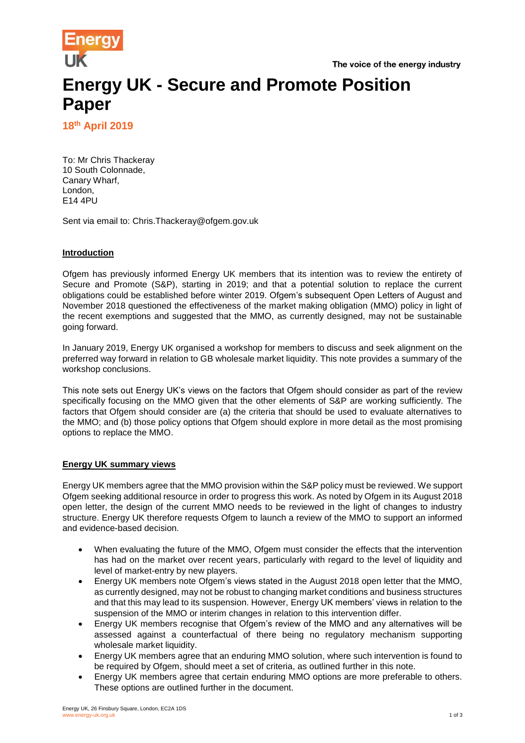



# **Energy UK - Secure and Promote Position Paper**

**18th April 2019**

To: Mr Chris Thackeray 10 South Colonnade, Canary Wharf, London, E14 4PU

Sent via email to: Chris.Thackeray@ofgem.gov.uk

# **Introduction**

Ofgem has previously informed Energy UK members that its intention was to review the entirety of Secure and Promote (S&P), starting in 2019; and that a potential solution to replace the current obligations could be established before winter 2019. Ofgem's subsequent Open Letters of August and November 2018 questioned the effectiveness of the market making obligation (MMO) policy in light of the recent exemptions and suggested that the MMO, as currently designed, may not be sustainable going forward.

In January 2019, Energy UK organised a workshop for members to discuss and seek alignment on the preferred way forward in relation to GB wholesale market liquidity. This note provides a summary of the workshop conclusions.

This note sets out Energy UK's views on the factors that Ofgem should consider as part of the review specifically focusing on the MMO given that the other elements of S&P are working sufficiently. The factors that Ofgem should consider are (a) the criteria that should be used to evaluate alternatives to the MMO; and (b) those policy options that Ofgem should explore in more detail as the most promising options to replace the MMO.

## **Energy UK summary views**

Energy UK members agree that the MMO provision within the S&P policy must be reviewed. We support Ofgem seeking additional resource in order to progress this work. As noted by Ofgem in its August 2018 open letter, the design of the current MMO needs to be reviewed in the light of changes to industry structure. Energy UK therefore requests Ofgem to launch a review of the MMO to support an informed and evidence-based decision.

- When evaluating the future of the MMO, Ofgem must consider the effects that the intervention has had on the market over recent years, particularly with regard to the level of liquidity and level of market-entry by new players.
- Energy UK members note Ofgem's views stated in the August 2018 open letter that the MMO, as currently designed, may not be robust to changing market conditions and business structures and that this may lead to its suspension. However, Energy UK members' views in relation to the suspension of the MMO or interim changes in relation to this intervention differ.
- Energy UK members recognise that Ofgem's review of the MMO and any alternatives will be assessed against a counterfactual of there being no regulatory mechanism supporting wholesale market liquidity.
- Energy UK members agree that an enduring MMO solution, where such intervention is found to be required by Ofgem, should meet a set of criteria, as outlined further in this note.
- Energy UK members agree that certain enduring MMO options are more preferable to others. These options are outlined further in the document.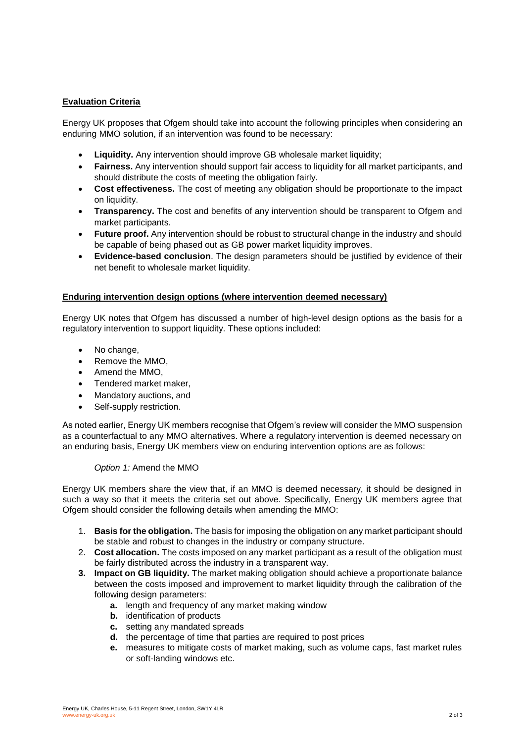# **Evaluation Criteria**

Energy UK proposes that Ofgem should take into account the following principles when considering an enduring MMO solution, if an intervention was found to be necessary:

- **Liquidity.** Any intervention should improve GB wholesale market liquidity;
- **Fairness.** Any intervention should support fair access to liquidity for all market participants, and should distribute the costs of meeting the obligation fairly.
- **Cost effectiveness.** The cost of meeting any obligation should be proportionate to the impact on liquidity.
- **Transparency.** The cost and benefits of any intervention should be transparent to Ofgem and market participants.
- **Future proof.** Any intervention should be robust to structural change in the industry and should be capable of being phased out as GB power market liquidity improves.
- **Evidence-based conclusion**. The design parameters should be justified by evidence of their net benefit to wholesale market liquidity.

## **Enduring intervention design options (where intervention deemed necessary)**

Energy UK notes that Ofgem has discussed a number of high-level design options as the basis for a regulatory intervention to support liquidity. These options included:

- No change,
- Remove the MMO,
- Amend the MMO.
- Tendered market maker,
- Mandatory auctions, and
- Self-supply restriction.

As noted earlier, Energy UK members recognise that Ofgem's review will consider the MMO suspension as a counterfactual to any MMO alternatives. Where a regulatory intervention is deemed necessary on an enduring basis, Energy UK members view on enduring intervention options are as follows:

#### *Option 1:* Amend the MMO

Energy UK members share the view that, if an MMO is deemed necessary, it should be designed in such a way so that it meets the criteria set out above. Specifically, Energy UK members agree that Ofgem should consider the following details when amending the MMO:

- 1. **Basis for the obligation.** The basis for imposing the obligation on any market participant should be stable and robust to changes in the industry or company structure.
- 2. **Cost allocation.** The costs imposed on any market participant as a result of the obligation must be fairly distributed across the industry in a transparent way.
- **3. Impact on GB liquidity.** The market making obligation should achieve a proportionate balance between the costs imposed and improvement to market liquidity through the calibration of the following design parameters:
	- **a.** length and frequency of any market making window
	- **b.** identification of products
	- **c.** setting any mandated spreads
	- **d.** the percentage of time that parties are required to post prices
	- **e.** measures to mitigate costs of market making, such as volume caps, fast market rules or soft-landing windows etc.